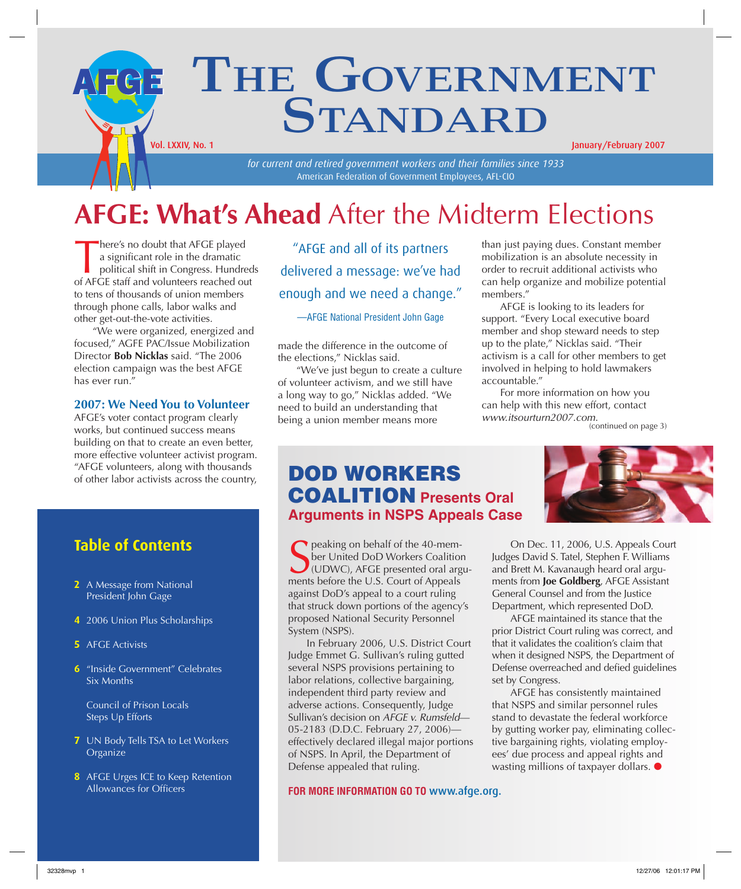### THE GOVERNMENT **STANDARD** AFGE Vol. LXXIV, No. 1 January/February 2007

*for current and retired government workers and their families since 1933* American Federation of Government Employees, AFL-CIO

## **AFGE: What's Ahead** After the Midterm Elections

There's no doubt that AFGE played<br>a significant role in the dramatic<br>political shift in Congress. Hundre<br>of AFGE staff and volunteers reached ou a significant role in the dramatic political shift in Congress. Hundreds of AFGE staff and volunteers reached out to tens of thousands of union members through phone calls, labor walks and other get-out-the-vote activities.

"We were organized, energized and focused," AGFE PAC/Issue Mobilization Director **Bob Nicklas** said. "The 2006 election campaign was the best AFGE has ever run."

#### **2007: We Need You to Volunteer**

AFGE's voter contact program clearly works, but continued success means building on that to create an even better, more effective volunteer activist program. "AFGE volunteers, along with thousands of other labor activists across the country,

#### **Table of Contents**

- **2** A Message from National President John Gage
- **4** 2006 Union Plus Scholarships
- **5** AFGE Activists
- **6** "Inside Government" Celebrates Six Months

Council of Prison Locals Steps Up Efforts

- **7** UN Body Tells TSA to Let Workers **Organize**
- **8** AFGE Urges ICE to Keep Retention Allowances for Officers

"AFGE and all of its partners delivered a message: we've had enough and we need a change."

—AFGE National President John Gage

made the difference in the outcome of the elections," Nicklas said.

"We've just begun to create a culture of volunteer activism, and we still have a long way to go," Nicklas added. "We need to build an understanding that being a union member means more

than just paying dues. Constant member mobilization is an absolute necessity in order to recruit additional activists who can help organize and mobilize potential members."

AFGE is looking to its leaders for support. "Every Local executive board member and shop steward needs to step up to the plate," Nicklas said. "Their activism is a call for other members to get involved in helping to hold lawmakers accountable."

For more information on how you can help with this new effort, contact *www.itsourturn2007.com.*

(continued on page 3)

### **DOD WORKERS COALITION Presents Oral Arguments in NSPS Appeals Case**

Seaking on behalf of the 40-member United DoD Workers Coalition<br>
(UDWC), AFGE presented oral arg<br>
ments before the U.S. Court of Appeals peaking on behalf of the 40-member United DoD Workers Coalition (UDWC), AFGE presented oral arguagainst DoD's appeal to a court ruling that struck down portions of the agency's proposed National Security Personnel System (NSPS).

In February 2006, U.S. District Court Judge Emmet G. Sullivan's ruling gutted several NSPS provisions pertaining to labor relations, collective bargaining, independent third party review and adverse actions. Consequently, Judge Sullivan's decision on *AFGE v. Rumsfeld*— 05-2183 (D.D.C. February 27, 2006) effectively declared illegal major portions of NSPS. In April, the Department of Defense appealed that ruling.

**FOR MORE INFORMATION GO TO** www.afge.org.



On Dec. 11, 2006, U.S. Appeals Court Judges David S. Tatel, Stephen F. Williams and Brett M. Kavanaugh heard oral arguments from **Joe Goldberg**, AFGE Assistant General Counsel and from the Justice Department, which represented DoD.

AFGE maintained its stance that the prior District Court ruling was correct, and that it validates the coalition's claim that when it designed NSPS, the Department of Defense overreached and defied guidelines set by Congress.

AFGE has consistently maintained that NSPS and similar personnel rules stand to devastate the federal workforce by gutting worker pay, eliminating collective bargaining rights, violating employees' due process and appeal rights and wasting millions of taxpayer dollars. ●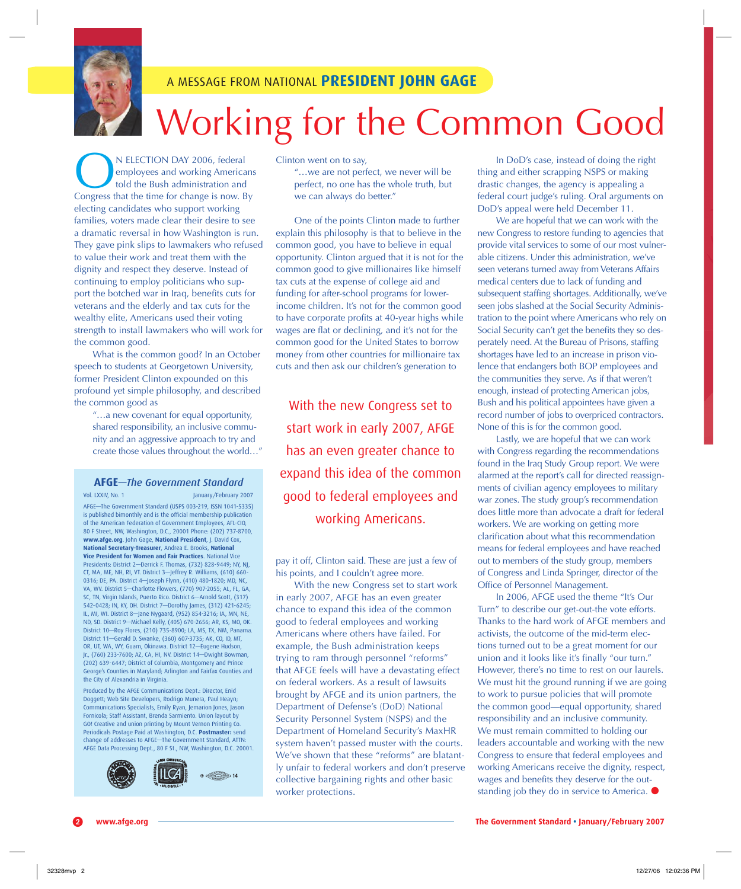

#### A MESSAGE FROM NATIONAL **PRESIDENT JOHN GAGE**

# Working for the Common Good

**ON ELECTION DAY 2006, federal**<br>told the Bush administration and<br>Congress that the time for change is now. By employees and working Americans told the Bush administration and electing candidates who support working families, voters made clear their desire to see a dramatic reversal in how Washington is run. They gave pink slips to lawmakers who refused to value their work and treat them with the dignity and respect they deserve. Instead of continuing to employ politicians who support the botched war in Iraq, benefits cuts for veterans and the elderly and tax cuts for the wealthy elite, Americans used their voting strength to install lawmakers who will work for the common good.

What is the common good? In an October speech to students at Georgetown University, former President Clinton expounded on this profound yet simple philosophy, and described the common good as

"…a new covenant for equal opportunity, shared responsibility, an inclusive community and an aggressive approach to try and create those values throughout the world…"

#### **AFGE***—The Government Standard*

Vol. LXXIV, No. 1 January/February 2007 AFGE—The Government Standard (USPS 003-219, ISSN 1041-5335) is published bimonthly and is the official membership publication of the American Federation of Government Employees, AFL-CIO, 80 F Street, NW, Washington, D.C., 20001 Phone: (202) 737-8700, **www.afge.org**. John Gage, **National President**, J. David Cox, **National Secretary-Treasurer**, Andrea E. Brooks, **National Vice President for Women and Fair Practices**. National Vice Presidents: District 2—Derrick F. Thomas, (732) 828-9449; NY, NJ, CT, MA, ME, NH, RI, VT. District 3—Jeffrey R. Williams, (610) 660- 0316; DE, PA. District 4—Joseph Flynn, (410) 480-1820; MD, NC, VA, WV. District 5—Charlotte Flowers, (770) 907-2055; AL, FL, GA, SC, TN, Virgin Islands, Puerto Rico. District 6—Arnold Scott, (317) 542-0428; IN, KY, OH. District 7—Dorothy James, (312) 421-6245; IL, MI, WI. District 8—Jane Nygaard, (952) 854-3216; IA, MN, NE, ND, SD. District 9—Michael Kelly, (405) 670-2656; AR, KS, MO, OK. District 10-Roy Flores, (210) 735-8900; LA, MS, TX, NM, Panar District 11—Gerald D. Swanke, (360) 607-3735; AK, CO, ID, MT, OR, UT, WA, WY, Guam, Okinawa. District 12—Eugene Hudson, Jr., (760) 233-7600; AZ, CA, HI, NV. District 14—Dwight Bowman, (202) 639-6447; District of Columbia, Montgomery and Prince George's Counties in Maryland; Arlington and Fairfax Counties and the City of Alexandria in Virginia.

Produced by the AFGE Communications Dept.: Director, Enid Doggett; Web Site Developers, Rodrigo Munera, Paul Heayn; Communications Specialists, Emily Ryan, Jemarion Jones, Jason Fornicola; Staff Assistant, Brenda Sarmiento. Union layout by GO! Creative and union printing by Mount Vernon Printing Co. Periodicals Postage Paid at Washington, D.C. **Postmaster:** send change of addresses to AFGE—The Government Standard, ATTN: AFGE Data Processing Dept., 80 F St., NW, Washington, D.C. 20001.



Clinton went on to say,

"…we are not perfect, we never will be perfect, no one has the whole truth, but we can always do better."

One of the points Clinton made to further explain this philosophy is that to believe in the common good, you have to believe in equal opportunity. Clinton argued that it is not for the common good to give millionaires like himself tax cuts at the expense of college aid and funding for after-school programs for lowerincome children. It's not for the common good to have corporate profits at 40-year highs while wages are flat or declining, and it's not for the common good for the United States to borrow money from other countries for millionaire tax cuts and then ask our children's generation to

With the new Congress set to start work in early 2007, AFGE has an even greater chance to expand this idea of the common good to federal employees and working Americans.

pay it off, Clinton said. These are just a few of his points, and I couldn't agree more.

With the new Congress set to start work in early 2007, AFGE has an even greater chance to expand this idea of the common good to federal employees and working Americans where others have failed. For example, the Bush administration keeps trying to ram through personnel "reforms" that AFGE feels will have a devastating effect on federal workers. As a result of lawsuits brought by AFGE and its union partners, the Department of Defense's (DoD) National Security Personnel System (NSPS) and the Department of Homeland Security's MaxHR system haven't passed muster with the courts. We've shown that these "reforms" are blatantly unfair to federal workers and don't preserve collective bargaining rights and other basic worker protections.

In DoD's case, instead of doing the right thing and either scrapping NSPS or making drastic changes, the agency is appealing a federal court judge's ruling. Oral arguments on DoD's appeal were held December 11.

We are hopeful that we can work with the new Congress to restore funding to agencies that provide vital services to some of our most vulnerable citizens. Under this administration, we've seen veterans turned away from Veterans Affairs medical centers due to lack of funding and subsequent staffing shortages. Additionally, we've seen jobs slashed at the Social Security Administration to the point where Americans who rely on Social Security can't get the benefits they so desperately need. At the Bureau of Prisons, staffing shortages have led to an increase in prison violence that endangers both BOP employees and the communities they serve. As if that weren't enough, instead of protecting American jobs, Bush and his political appointees have given a record number of jobs to overpriced contractors. None of this is for the common good.

Lastly, we are hopeful that we can work with Congress regarding the recommendations found in the Iraq Study Group report. We were alarmed at the report's call for directed reassignments of civilian agency employees to military war zones. The study group's recommendation does little more than advocate a draft for federal workers. We are working on getting more clarification about what this recommendation means for federal employees and have reached out to members of the study group, members of Congress and Linda Springer, director of the Office of Personnel Management.

In 2006, AFGE used the theme "It's Our Turn" to describe our get-out-the vote efforts. Thanks to the hard work of AFGE members and activists, the outcome of the mid-term elections turned out to be a great moment for our union and it looks like it's finally "our turn." However, there's no time to rest on our laurels. We must hit the ground running if we are going to work to pursue policies that will promote the common good—equal opportunity, shared responsibility and an inclusive community. We must remain committed to holding our leaders accountable and working with the new Congress to ensure that federal employees and working Americans receive the dignity, respect, wages and benefits they deserve for the outstanding job they do in service to America. ●

**www.afge.org The Government Standard • January/February 2007**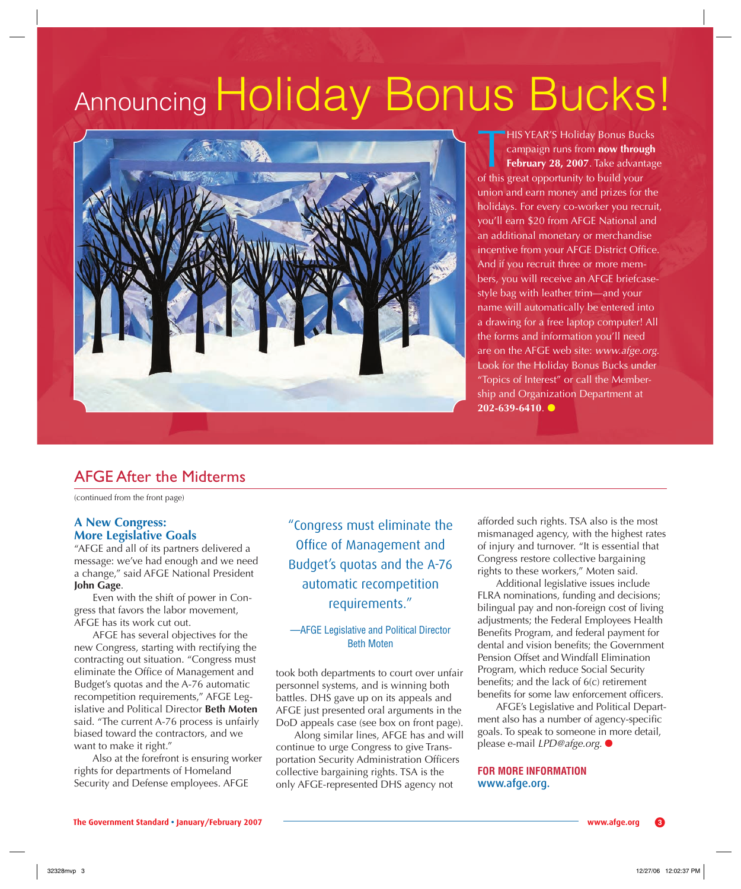# Announcing Holiday Bonus Bucks!



**THIS YEAR'S Holiday Bonus Bucks**<br>campaign runs from **now through**<br>**February 28, 2007**. Take advantage of this great opportunity to build your campaign runs from **now through February 28, 2007**. Take advantage of this great opportunity to build your union and earn money and prizes for the holidays. For every co-worker you recruit, you'll earn \$20 from AFGE National and an additional monetary or merchandise incentive from your AFGE District Office. And if you recruit three or more members, you will receive an AFGE briefcasestyle bag with leather trim—and your name will automatically be entered into a drawing for a free laptop computer! All the forms and information you'll need are on the AFGE web site: *www.afge.org*. Look for the Holiday Bonus Bucks under "Topics of Interest" or call the Membership and Organization Department at **202-639-6410.** ●

#### AFGE After the Midterms

(continued from the front page)

#### **A New Congress: More Legislative Goals**

"AFGE and all of its partners delivered a message: we've had enough and we need a change," said AFGE National President **John Gage**.

Even with the shift of power in Congress that favors the labor movement, AFGE has its work cut out.

AFGE has several objectives for the new Congress, starting with rectifying the contracting out situation. "Congress must eliminate the Office of Management and Budget's quotas and the A-76 automatic recompetition requirements," AFGE Legislative and Political Director **Beth Moten** said. "The current A-76 process is unfairly biased toward the contractors, and we want to make it right."

Also at the forefront is ensuring worker rights for departments of Homeland Security and Defense employees. AFGE

"Congress must eliminate the Office of Management and Budget's quotas and the A-76 automatic recompetition requirements."

#### —AFGE Legislative and Political Director Beth Moten

took both departments to court over unfair personnel systems, and is winning both battles. DHS gave up on its appeals and AFGE just presented oral arguments in the DoD appeals case (see box on front page).

Along similar lines, AFGE has and will continue to urge Congress to give Transportation Security Administration Officers collective bargaining rights. TSA is the only AFGE-represented DHS agency not

afforded such rights. TSA also is the most mismanaged agency, with the highest rates of injury and turnover. "It is essential that Congress restore collective bargaining rights to these workers," Moten said.

Additional legislative issues include FLRA nominations, funding and decisions; bilingual pay and non-foreign cost of living adjustments; the Federal Employees Health Benefits Program, and federal payment for dental and vision benefits; the Government Pension Offset and Windfall Elimination Program, which reduce Social Security benefits; and the lack of  $6(c)$  retirement benefits for some law enforcement officers.

AFGE's Legislative and Political Department also has a number of agency-specific goals. To speak to someone in more detail, please e-mail *LPD@afge.org*. ●

#### **FOR MORE INFORMATION**  www.afge.org.

**The Government Standard • January/February 2007 www.afge.org** -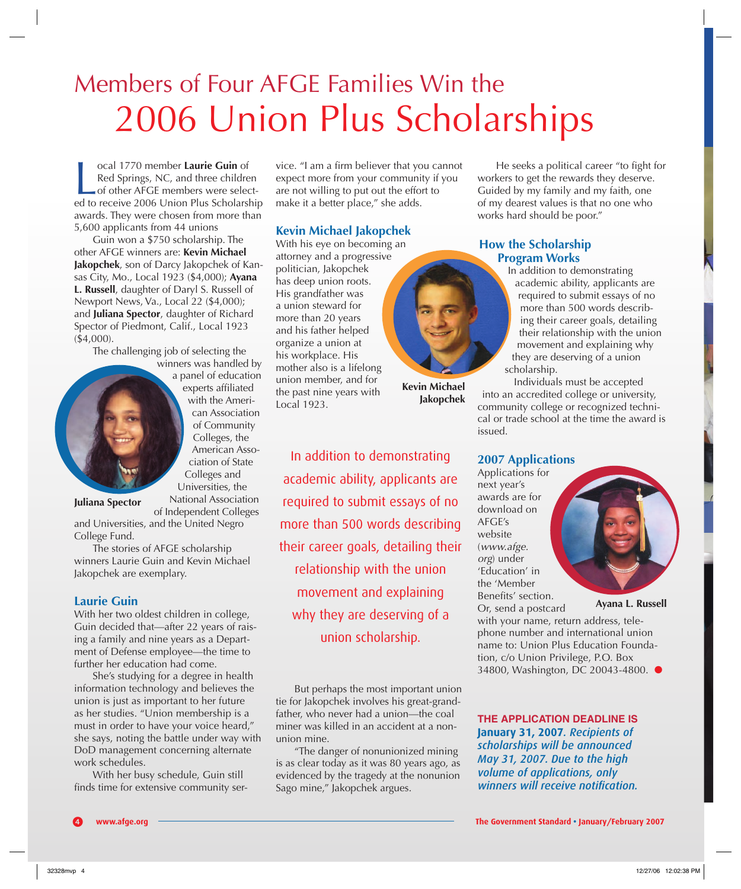# Members of Four AFGE Families Win the 2006 Union Plus Scholarships

ocal 1770 member Laurie Guin of<br>Red Springs, NC, and three children<br>of other AFGE members were select-<br>ed to receive 2006 Union Plus Scholarship ocal 1770 member **Laurie Guin** of Red Springs, NC, and three children of other AFGE members were selectawards. They were chosen from more than 5,600 applicants from 44 unions

Guin won a \$750 scholarship. The other AFGE winners are: **Kevin Michael Jakopchek**, son of Darcy Jakopchek of Kansas City, Mo., Local 1923 (\$4,000); **Ayana L. Russell**, daughter of Daryl S. Russell of Newport News, Va., Local 22 (\$4,000); and **Juliana Spector**, daughter of Richard Spector of Piedmont, Calif., Local 1923 (\$4,000).

The challenging job of selecting the winners was handled by

a panel of education experts affiliated with the American Association of Community Colleges, the American Association of State Colleges and Universities, the National Association

**Juliana Spector**

of Independent Colleges and Universities, and the United Negro College Fund.

The stories of AFGE scholarship winners Laurie Guin and Kevin Michael Jakopchek are exemplary.

#### **Laurie Guin**

With her two oldest children in college, Guin decided that—after 22 years of raising a family and nine years as a Department of Defense employee—the time to further her education had come.

She's studying for a degree in health information technology and believes the union is just as important to her future as her studies. "Union membership is a must in order to have your voice heard," she says, noting the battle under way with DoD management concerning alternate work schedules.

With her busy schedule, Guin still finds time for extensive community service. "I am a firm believer that you cannot expect more from your community if you are not willing to put out the effort to make it a better place," she adds.

#### **Kevin Michael Jakopchek**

With his eye on becoming an attorney and a progressive politician, Jakopchek has deep union roots. His grandfather was a union steward for more than 20 years and his father helped organize a union at his workplace. His mother also is a lifelong union member, and for the past nine years with Local 1923.



**Jakopchek**

In addition to demonstrating academic ability, applicants are required to submit essays of no more than 500 words describing their career goals, detailing their relationship with the union movement and explaining why they are deserving of a union scholarship.

But perhaps the most important union tie for Jakopchek involves his great-grandfather, who never had a union—the coal miner was killed in an accident at a nonunion mine.

"The danger of nonunionized mining is as clear today as it was 80 years ago, as evidenced by the tragedy at the nonunion Sago mine," Jakopchek argues.

He seeks a political career "to fight for workers to get the rewards they deserve. Guided by my family and my faith, one of my dearest values is that no one who works hard should be poor."

#### **How the Scholarship Program Works**

In addition to demonstrating academic ability, applicants are required to submit essays of no more than 500 words describing their career goals, detailing their relationship with the union movement and explaining why they are deserving of a union scholarship.

Individuals must be accepted into an accredited college or university, community college or recognized technical or trade school at the time the award is issued.

#### **2007 Applications**

Applications for next year's awards are for download on AFGE's website (*www.afge. org*) under 'Education' in the 'Member Benefits' section. Or, send a postcard

#### **Ayana L. Russell**

with your name, return address, telephone number and international union name to: Union Plus Education Foundation, c/o Union Privilege, P.O. Box 34800, Washington, DC 20043-4800. ●

**THE APPLICATION DEADLINE IS January 31, 2007***. Recipients of scholarships will be announced May 31, 2007. Due to the high volume of applications, only winners will receive notification.*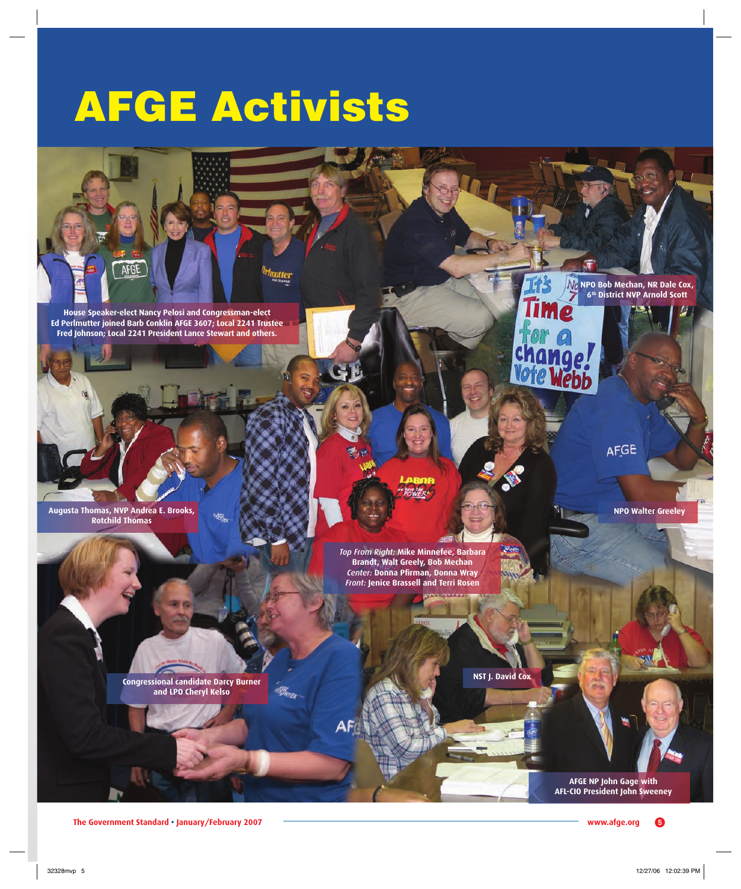# **AFGE Activists**



**House Speaker-elect Nancy Pelosi and Congressman-elect Ed Perlmutter joined Barb Conklin AFGE 3607; Local 2241 Trustee Fred Johnson; Local 2241 President Lance Stewart and others.**

**Augusta Thomas, NVP Andrea E. Brooks, Rotchild Thomas**

> *Top From Right:* **Mike Minnefee, Barbara Brandt, Walt Greely, Bob Mechan**  *Center:* **Donna Pfi rman, Donna Wray**  *Front:* **Jenice Brassell and Terri Rosen**

**Congressional candidate Darcy Burner and LPO Cheryl Kelso**

**NST J. David Co** 

ibB.

**AFGE NP John Gage with AFL-CIO President John Sweeney**

**NPO Walter Greeley**

AFGE

**NPO Bob Mechan, NR Dale Cox, 6th District NVP Arnold Scott**

**The Government Standard • January/February 2007 www.afge.org**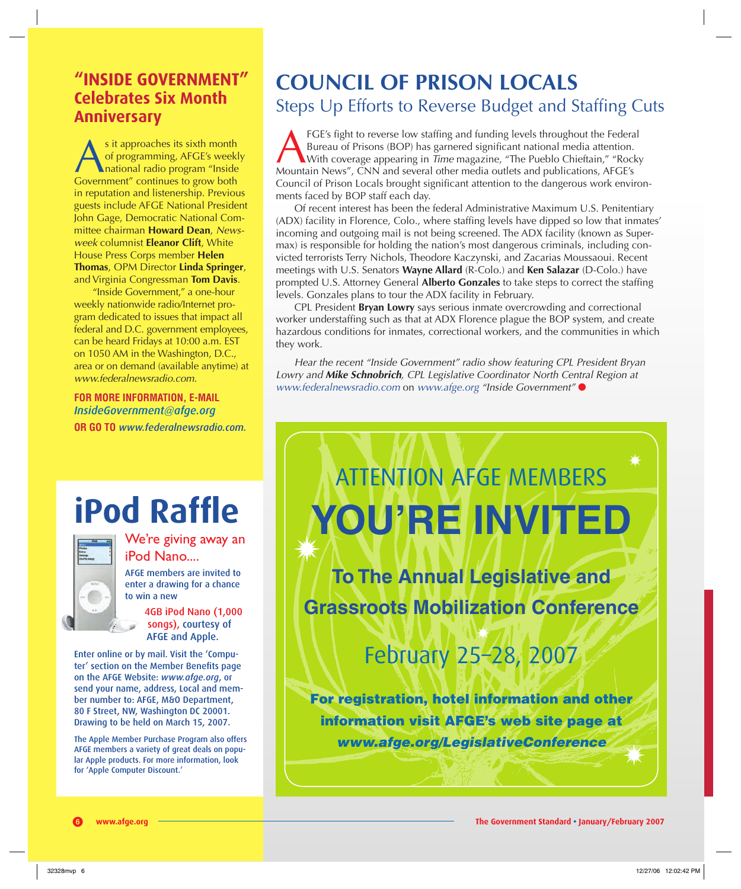**"INSIDE GOVERNMENT" Celebrates Six Month Anniversary**

s it approaches its sixth month<br>
of programming, AFGE's weekl<br>
Government" continues to grow both of programming, AFGE's weekly national radio program "Inside in reputation and listenership. Previous guests include AFGE National President John Gage, Democratic National Committee chairman **Howard Dean**, *Newsweek* columnist **Eleanor Clift**, White House Press Corps member **Helen Thomas**, OPM Director **Linda Springer**, and Virginia Congressman **Tom Davis**.

"Inside Government," a one-hour weekly nationwide radio/Internet program dedicated to issues that impact all federal and D.C. government employees, can be heard Fridays at 10:00 a.m. EST on 1050 AM in the Washington, D.C., area or on demand (available anytime) at *www.federalnewsradio.com*.

**FOR MORE INFORMATION, E-MAIL**  *InsideGovernment@afge.org*  **OR GO TO** *www.federalnewsradio.com.*

# **iPod Raffle**



We're giving away an iPod Nano....

AFGE members are invited to enter a drawing for a chance to win a new

> 4GB iPod Nano (1,000 songs), courtesy of AFGE and Apple.

Enter online or by mail. Visit the 'Computer' section on the Member Benefits page on the AFGE Website: *www.afge.org*, or send your name, address, Local and member number to: AFGE, M&O Department, 80 F Street, NW, Washington DC 20001. Drawing to be held on March 15, 2007.

The Apple Member Purchase Program also offers AFGE members a variety of great deals on popular Apple products. For more information, look for 'Apple Computer Discount.'

www.afge.org

### **COUNCIL OF PRISON LOCALS** Steps Up Efforts to Reverse Budget and Staffing Cuts

FGE's fight to reverse low staffing and funding levels throughout the Federal<br>Bureau of Prisons (BOP) has garnered significant national media attention.<br>With coverage appearing in *Time* magazine, "The Pueblo Chieftain," " Bureau of Prisons (BOP) has garnered significant national media attention. With coverage appearing in *Time* magazine, "The Pueblo Chieftain," "Rocky Mountain News", CNN and several other media outlets and publications, AFGE's Council of Prison Locals brought significant attention to the dangerous work environments faced by BOP staff each day.

Of recent interest has been the federal Administrative Maximum U.S. Penitentiary (ADX) facility in Florence, Colo., where staffing levels have dipped so low that inmates' incoming and outgoing mail is not being screened. The ADX facility (known as Supermax) is responsible for holding the nation's most dangerous criminals, including convicted terrorists Terry Nichols, Theodore Kaczynski, and Zacarias Moussaoui. Recent meetings with U.S. Senators **Wayne Allard** (R-Colo.) and **Ken Salazar** (D-Colo.) have prompted U.S. Attorney General **Alberto Gonzales** to take steps to correct the staffing levels. Gonzales plans to tour the ADX facility in February.

CPL President **Bryan Lowry** says serious inmate overcrowding and correctional worker understaffing such as that at ADX Florence plague the BOP system, and create hazardous conditions for inmates, correctional workers, and the communities in which they work.

*Hear the recent "Inside Government" radio show featuring CPL President Bryan Lowry and Mike Schnobrich, CPL Legislative Coordinator North Central Region at www.federalnewsradio.com* on *www.afge.org "Inside Government"* ●

# ATTENTION AFGE MEMBERS **YOU'RE INVITED**

**To The Annual Legislative and Grassroots Mobilization Conference**

## February 25–28, 2007

**For registration, hotel information and other information visit AFGE's web site page at**  *www.afge.org/LegislativeConference*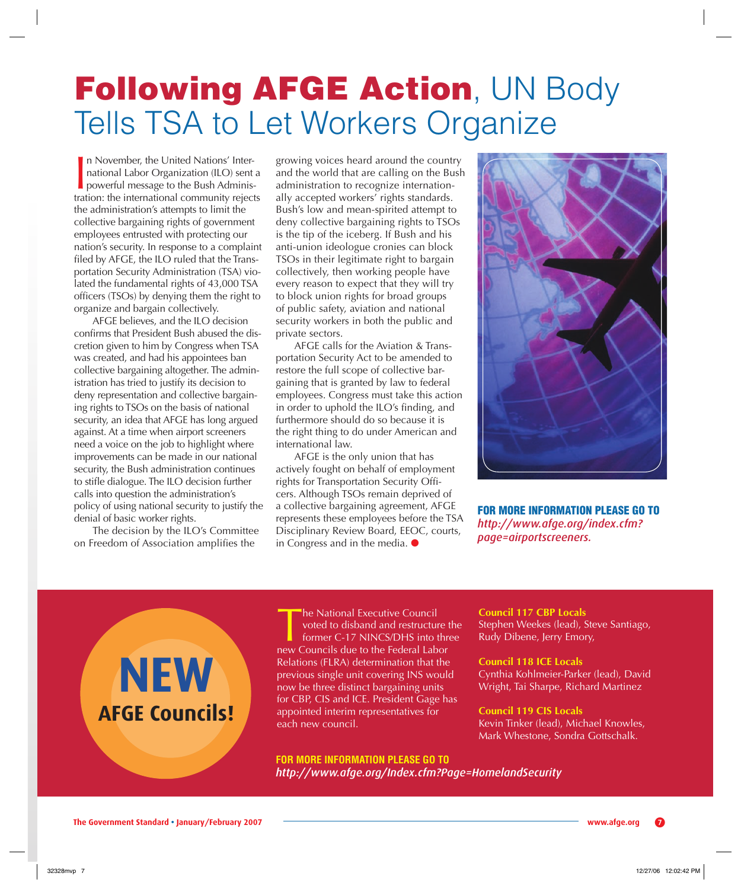## **Following AFGE Action**, UN Body Tells TSA to Let Workers Organize

In November, the United Nations' International Labor Organization (ILO) sent a powerful message to the Bush Administration: the international community rejects n November, the United Nations' International Labor Organization (ILO) sent a powerful message to the Bush Administhe administration's attempts to limit the collective bargaining rights of government employees entrusted with protecting our nation's security. In response to a complaint filed by AFGE, the ILO ruled that the Transportation Security Administration (TSA) violated the fundamental rights of 43,000 TSA officers (TSOs) by denying them the right to organize and bargain collectively.

AFGE believes, and the ILO decision confirms that President Bush abused the discretion given to him by Congress when TSA was created, and had his appointees ban collective bargaining altogether. The administration has tried to justify its decision to deny representation and collective bargaining rights to TSOs on the basis of national security, an idea that AFGE has long argued against. At a time when airport screeners need a voice on the job to highlight where improvements can be made in our national security, the Bush administration continues to stifle dialogue. The ILO decision further calls into question the administration's policy of using national security to justify the denial of basic worker rights.

The decision by the ILO's Committee on Freedom of Association amplifies the

growing voices heard around the country and the world that are calling on the Bush administration to recognize internationally accepted workers' rights standards. Bush's low and mean-spirited attempt to deny collective bargaining rights to TSOs is the tip of the iceberg. If Bush and his anti-union ideologue cronies can block TSOs in their legitimate right to bargain collectively, then working people have every reason to expect that they will try to block union rights for broad groups of public safety, aviation and national security workers in both the public and private sectors.

AFGE calls for the Aviation & Transportation Security Act to be amended to restore the full scope of collective bargaining that is granted by law to federal employees. Congress must take this action in order to uphold the ILO's finding, and furthermore should do so because it is the right thing to do under American and international law.

AFGE is the only union that has actively fought on behalf of employment rights for Transportation Security Officers. Although TSOs remain deprived of a collective bargaining agreement, AFGE represents these employees before the TSA Disciplinary Review Board, EEOC, courts, in Congress and in the media. ●



**FOR MORE INFORMATION PLEASE GO TO**  *http://www.afge.org/index.cfm? page=airportscreeners.*



The National Executive Council<br>
voted to disband and restructure t<br>
former C-17 NINCS/DHS into three<br>
new Councils due to the Federal Labor voted to disband and restructure the former C-17 NINCS/DHS into three Relations (FLRA) determination that the previous single unit covering INS would now be three distinct bargaining units for CBP, CIS and ICE. President Gage has appointed interim representatives for each new council.

**FOR MORE INFORMATION PLEASE GO TO**  *http://www.afge.org/Index.cfm?Page=HomelandSecurity*

### **Council 117 CBP Locals**

Stephen Weekes (lead), Steve Santiago, Rudy Dibene, Jerry Emory,

**Council 118 ICE Locals**  Cynthia Kohlmeier-Parker (lead), David Wright, Tai Sharpe, Richard Martinez

**Council 119 CIS Locals**  Kevin Tinker (lead), Michael Knowles, Mark Whestone, Sondra Gottschalk.